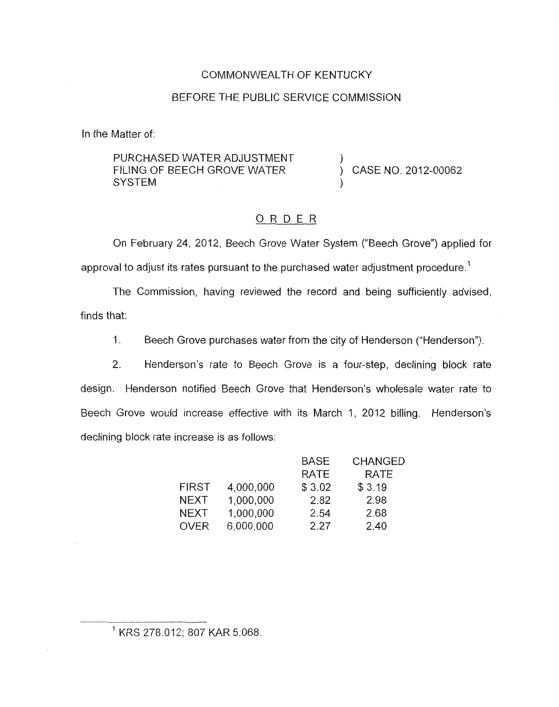## COMMONWEALTH OF KENTUCKY

### BEFORE THE PUBLIC SERVICE COMMISSION

In the Matter of:

PURCHASED WATER ADJUSTMENT FILING OF BEECH GROVE WATER **SYSTEM** 

) CASE NO. 2012-00062

1

)

### ORDER

On February 24, 2012, Beech Grove Water System ("Beech Grove") applied for approval to adjust its rates pursuant to the purchased water adjustment procedure.<sup>1</sup>

The Commission, having reviewed the record and being sufficiently advised, finds that:

1. Beech Grove purchases water from the city of Henderson ("Henderson").

2. Henderson's rate to Beech Grove is a four-step, declining block rate design. Henderson notified Beech Grove that Henderson's wholesale water rate to Beech Grove would increase effective with its March 1, 2012 billing. Henderson's declining block rate increase is as follows:

|              |           | <b>BASE</b> | <b>CHANGED</b> |
|--------------|-----------|-------------|----------------|
|              |           | <b>RATE</b> | <b>RATE</b>    |
| <b>FIRST</b> | 4,000,000 | \$3.02      | \$3.19         |
| <b>NEXT</b>  | 1,000,000 | 2.82        | 2.98           |
| <b>NEXT</b>  | 1,000,000 | 2.54        | 2.68           |
| <b>OVER</b>  | 6,000,000 | 2.27        | 2.40           |

KRS 278.012; 807 KAR 5:068.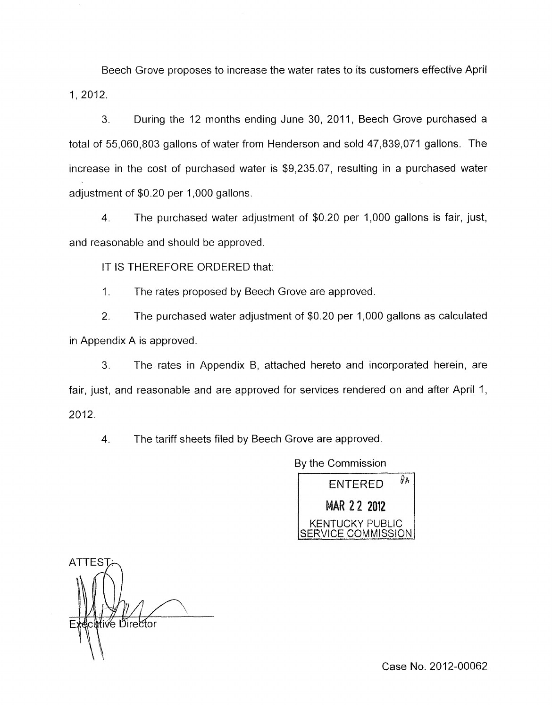Beech Grove proposes to increase the water rates to its customers effective April 1, 2012.

3. During the 12 months ending June 30, 2011, Beech Grove purchased a total of 55,060,803 gallons of water from Henderson and sold 47,839,071 gallons. The increase in the cost of purchased water is \$9,235.07, resulting in a purchased water adjustment of \$0.20 per 1,000 gallons.

4. The purchased water adjustment of \$0.20 per 1,000 gallons is fair, just, and reasonable and should be approved.

IT IS THEREFORE ORDERED that:

I. The rates proposed by Beech Grove are approved.

2. The purchased water adjustment of \$0.20 per 1,000 gallons as calculated in Appendix A is approved.

3. The rates in Appendix B, attached hereto and incorporated herein, are fair, just, and reasonable and are approved for services rendered on and after April 1, 2012.

4. The tariff sheets filed by Beech Grove are approved.

By the Commission

ENTERED *PA*  MAR 2 2 2012 KENTUCKY PUBLIC ERVICE COMMISSION

ATTES Executive Director

Case No. 2012-00062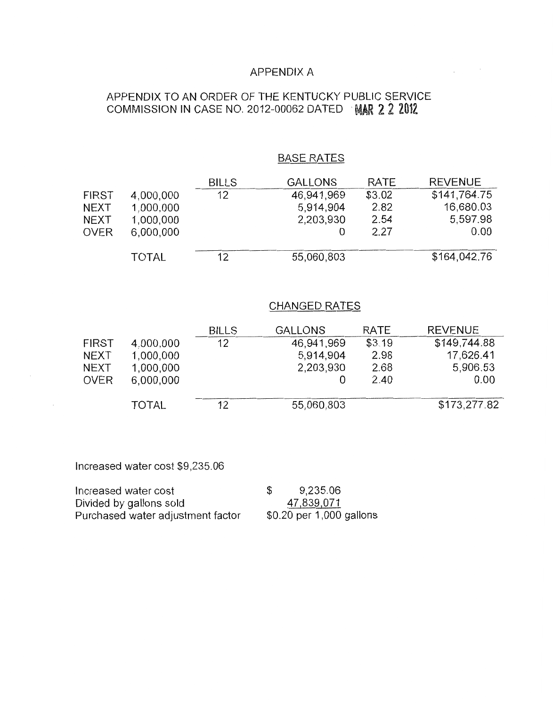### APPENDIX A

# APPENDIX TO AN ORDER OF THE KENTUCKY PUBLIC SERVICE COMMISSION IN CASE NO. 2012-00062 DATED MAR 2 2 2012

## BASE RATES

 $\sim$ 

 $\sim 10^{-1}$ 

|       |              | <b>BILLS</b> | <b>GALLONS</b> | <b>RATE</b> | <b>REVENUE</b> |
|-------|--------------|--------------|----------------|-------------|----------------|
| FIRST | 4,000,000    | 12           | 46,941,969     | \$3.02      | \$141,764.75   |
| NEXT  | 1,000,000    |              | 5,914,904      | 2.82        | 16,680.03      |
| NEXT  | 1,000,000    |              | 2,203,930      | 2.54        | 5,597.98       |
| OVER  | 6,000,000    |              |                | 2.27        | 0.00           |
|       |              |              |                |             | \$164,042.76   |
|       | <b>TOTAL</b> | 12           | 55,060,803     |             |                |

#### CHANGED RATES

|              |              | <b>BILLS</b> | <b>GALLONS</b> | <b>RATE</b> | <b>REVENUE</b> |
|--------------|--------------|--------------|----------------|-------------|----------------|
| <b>FIRST</b> | 4,000,000    | 12           | 46,941,969     | \$3.19      | \$149,744.88   |
| <b>NEXT</b>  | 1,000,000    |              | 5.914.904      | 2.98        | 17,626.41      |
| <b>NEXT</b>  | 1,000,000    |              | 2,203,930      | 2.68        | 5,906.53       |
| <b>OVER</b>  | 6,000,000    |              |                | 2.40        | 0.00           |
|              | <b>TOTAL</b> | 12           | 55,060,803     |             | \$173,277.82   |

Increased water cost \$9,235.06

Increased water cost  $$9,235.06$ Divided by gallons sold<br>
Purchased water adjustment factor  $\frac{47,839,071}{1,000}$  gallons Purchased water adjustment factor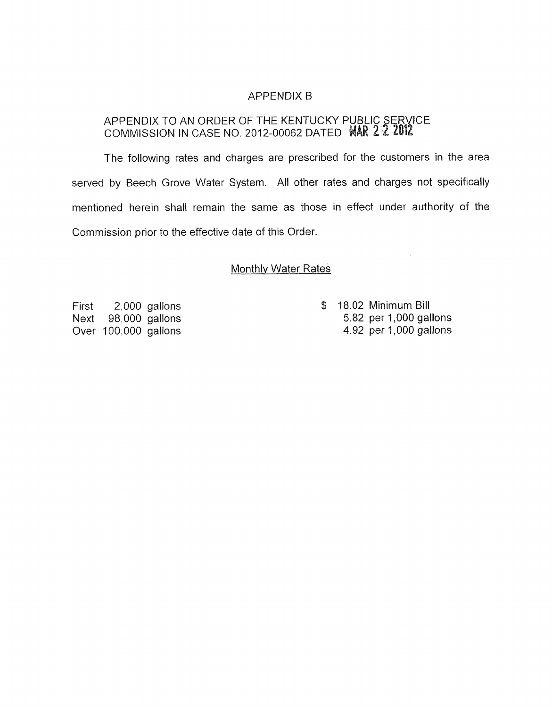### APPENDIX E3

## APPENDIX TO AN ORDER OF THE KENTUCKY PUBLIC SERVICE COMMISSION IN CASE NO. 2012-00062 DATED MAR 2 2 2012

The following rates and charges are prescribed for the customers in the area served by Beech Grove Water System. All other rates and charges not specifically mentioned herein shall remain the same as those in effect under authority of the Commission prior to the effective date of this Order.

#### Monthlv Water Rates

First 2,000 gallons Next 98,000 gallons Over 100,000 gallons

\$ 18.02 Minimum Bill 5.82 per 1,000 gallons 4.92 per 1,000 gallons